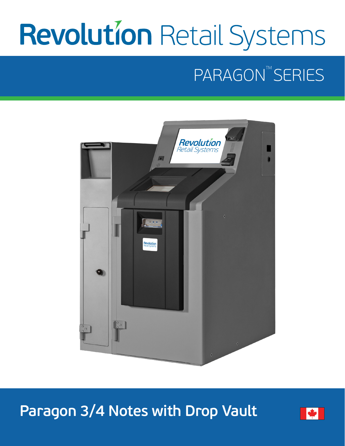# **Revolution Retail Systems**

## PARAGON<sup>TM</sup> SERIES



## **Paragon 3/4 Notes with Drop Vault**

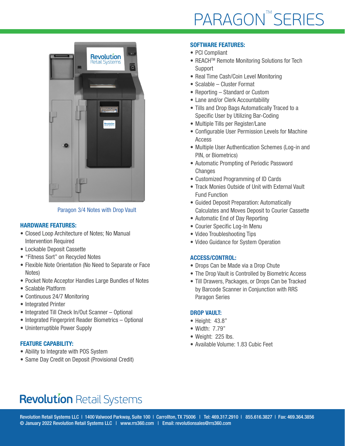

Paragon 3/4 Notes with Drop Vault

#### HARDWARE FEATURES:

- Closed Loop Architecture of Notes; No Manual Intervention Required
- Lockable Deposit Cassette
- "Fitness Sort" on Recycled Notes
- Flexible Note Orientation (No Need to Separate or Face Notes)
- Pocket Note Acceptor Handles Large Bundles of Notes
- Scalable Platform
- Continuous 24/7 Monitoring
- Integrated Printer
- Integrated Till Check In/Out Scanner Optional
- Integrated Fingerprint Reader Biometrics Optional
- Uninterruptible Power Supply

#### FEATURE CAPABILITY:

- Ability to Integrate with POS System
- Same Day Credit on Deposit (Provisional Credit)

#### SOFTWARE FEATURES:

- PCI Compliant
- REACHTM Remote Monitoring Solutions for Tech Support
- Real Time Cash/Coin Level Monitoring
- Scalable Cluster Format
- Reporting Standard or Custom
- Lane and/or Clerk Accountability
- Tills and Drop Bags Automatically Traced to a Specific User by Utilizing Bar-Coding
- Multiple Tills per Register/Lane
- Configurable User Permission Levels for Machine Access
- Multiple User Authentication Schemes (Log-in and PIN, or Biometrics)
- Automatic Prompting of Periodic Password **Changes**
- Customized Programming of ID Cards
- Track Monies Outside of Unit with External Vault Fund Function
- Guided Deposit Preparation: Automatically Calculates and Moves Deposit to Courier Cassette
- Automatic End of Day Reporting
- Courier Specific Log-In Menu
- Video Troubleshooting Tips
- Video Guidance for System Operation

#### ACCESS/CONTROL:

- Drops Can be Made via a Drop Chute
- The Drop Vault is Controlled by Biometric Access
- Till Drawers, Packages, or Drops Can be Tracked by Barcode Scanner in Conjunction with RRS Paragon Series

#### DROP VAULT:

- Height: 43.8"
- Width: 7.79"
- Weight: 225 lbs.
- Available Volume: 1.83 Cubic Feet

## **Revolution Retail Systems**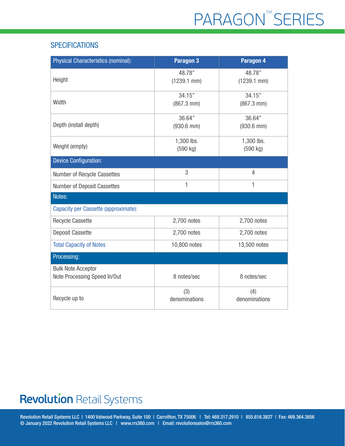#### **SPECIFICATIONS**

| <b>Physical Characteristics (nominal):</b>                | Paragon 3                      | Paragon 4                      |
|-----------------------------------------------------------|--------------------------------|--------------------------------|
| Height                                                    | 48.78"<br>$(1239.1$ mm $)$     | 48.78"<br>$(1239.1$ mm $)$     |
| Width                                                     | 34.15"<br>$(867.3 \text{ mm})$ | 34.15"<br>$(867.3 \text{ mm})$ |
| Depth (install depth)                                     | 36.64"<br>$(930.6$ mm)         | 36.64"<br>$(930.6$ mm $)$      |
| Weight (empty)                                            | 1,300 lbs.<br>(590 kg)         | 1,300 lbs.<br>(590 kg)         |
| <b>Device Configuration:</b>                              |                                |                                |
| Number of Recycle Cassettes                               | 3                              | $\overline{4}$                 |
| <b>Number of Deposit Cassettes</b>                        | 1                              | 1                              |
| Notes:                                                    |                                |                                |
| Capacity per Cassette (approximate):                      |                                |                                |
| <b>Recycle Cassette</b>                                   | 2,700 notes                    | 2,700 notes                    |
| <b>Deposit Cassette</b>                                   | 2,700 notes                    | 2,700 notes                    |
| <b>Total Capacity of Notes</b>                            | 10,800 notes                   | 13,500 notes                   |
| Processing:                                               |                                |                                |
| <b>Bulk Note Acceptor</b><br>Note Processing Speed In/Out | 8 notes/sec                    | 8 notes/sec                    |
| Recycle up to                                             | (3)<br>denominations           | (4)<br>denominations           |

## **Revolution Retail Systems**

Revolution Retail Systems LLC | 1400 Valwood Parkway, Suite 100 | Carrollton, TX 75006 | Tel: 469.317.2910 | 855.616.3827 | Fax: 469.364.3856 © January 2022 Revolution Retail Systems LLC | www.rrs360.com | Email: revolutionsales@rrs360.com